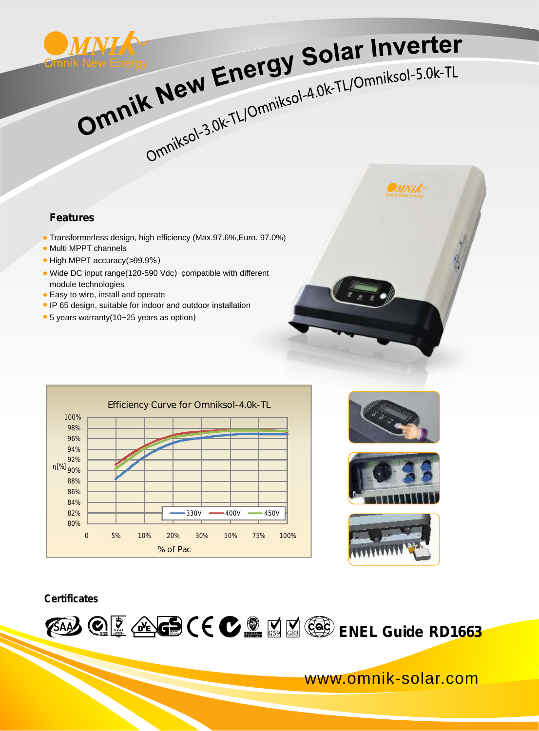

## WAY Energy Solar Inverter K New Energy Solar Inverter<br>K New Energy Solar Inverter

**Features**

- Transformerless design, high efficiency (Max.97.6%,Euro. 97.0%)
- Multi MPPT channels
- High MPPT accuracy(>99.9%)
- Wide DC input range(120-590 Vdc), compatible with different module technologies
- **Easy to wire, install and operate**
- IP 65 design, suitable for indoor and outdoor installation
- 5 years warranty(10~25 years as option)











## **Certificates**



www.omnik-solar.com